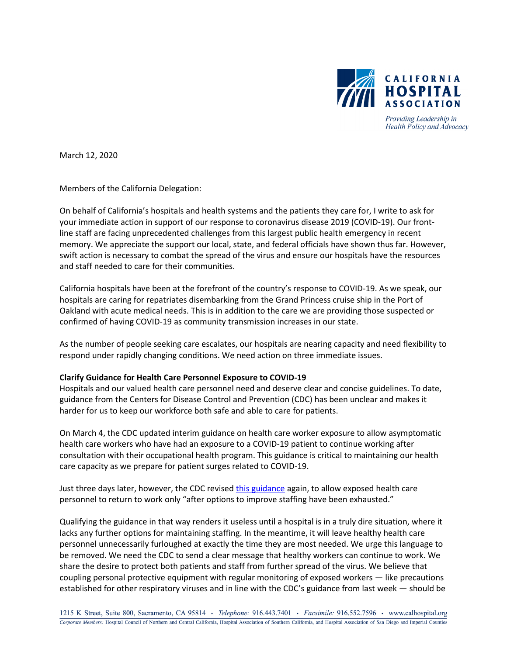

Providing Leadership in Health Policy and Advocacy

March 12, 2020

Members of the California Delegation:

On behalf of California's hospitals and health systems and the patients they care for, I write to ask for your immediate action in support of our response to coronavirus disease 2019 (COVID-19). Our frontline staff are facing unprecedented challenges from this largest public health emergency in recent memory. We appreciate the support our local, state, and federal officials have shown thus far. However, swift action is necessary to combat the spread of the virus and ensure our hospitals have the resources and staff needed to care for their communities.

California hospitals have been at the forefront of the country's response to COVID-19. As we speak, our hospitals are caring for repatriates disembarking from the Grand Princess cruise ship in the Port of Oakland with acute medical needs. This is in addition to the care we are providing those suspected or confirmed of having COVID-19 as community transmission increases in our state.

As the number of people seeking care escalates, our hospitals are nearing capacity and need flexibility to respond under rapidly changing conditions. We need action on three immediate issues.

#### **Clarify Guidance for Health Care Personnel Exposure to COVID-19**

Hospitals and our valued health care personnel need and deserve clear and concise guidelines. To date, guidance from the Centers for Disease Control and Prevention (CDC) has been unclear and makes it harder for us to keep our workforce both safe and able to care for patients.

On March 4, the CDC updated interim guidance on health care worker exposure to allow asymptomatic health care workers who have had an exposure to a COVID-19 patient to continue working after consultation with their occupational health program. This guidance is critical to maintaining our health care capacity as we prepare for patient surges related to COVID-19.

Just three days later, however, the CDC revised [this guidance](https://urldefense.proofpoint.com/v2/url?u=https-3A__www.cdc.gov_coronavirus_2019-2Dncov_hcp_guidance-2Drisk-2Dassesment-2Dhcp.html&d=DwMGaQ&c=L93KkjKsAC98uTvC4KvQDdTDRzAeWDDRmG6S3YXllH0&r=6WlV8qDPUwsOSlcZQJaNDwfi-J9NFv8tmzuMCC8-7Fg&m=qjLYJxSaPlgMNfaYM-JCzNTD590IagocIRpRkL1y-wc&s=cbyc_-0lAznro9dk56jcH5Gf6dMGJGYCZl6IalPVz7g&e=) again, to allow exposed health care personnel to return to work only "after options to improve staffing have been exhausted."

Qualifying the guidance in that way renders it useless until a hospital is in a truly dire situation, where it lacks any further options for maintaining staffing. In the meantime, it will leave healthy health care personnel unnecessarily furloughed at exactly the time they are most needed. We urge this language to be removed. We need the CDC to send a clear message that healthy workers can continue to work. We share the desire to protect both patients and staff from further spread of the virus. We believe that coupling personal protective equipment with regular monitoring of exposed workers — like precautions established for other respiratory viruses and in line with the CDC's guidance from last week — should be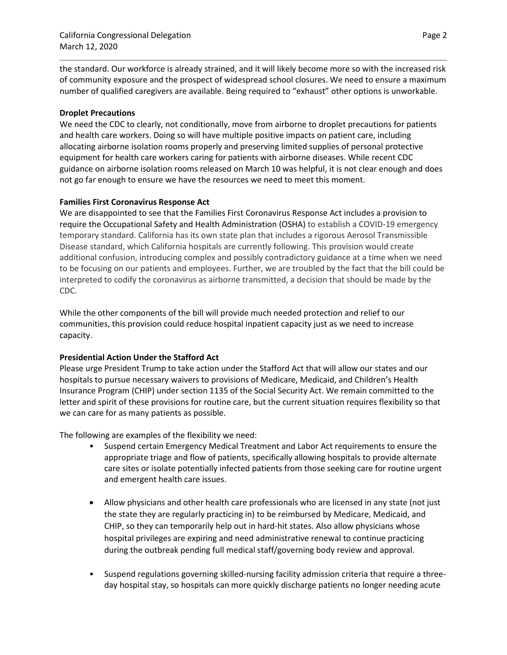the standard. Our workforce is already strained, and it will likely become more so with the increased risk of community exposure and the prospect of widespread school closures. We need to ensure a maximum number of qualified caregivers are available. Being required to "exhaust" other options is unworkable.

## **Droplet Precautions**

We need the CDC to clearly, not conditionally, move from airborne to droplet precautions for patients and health care workers. Doing so will have multiple positive impacts on patient care, including allocating airborne isolation rooms properly and preserving limited supplies of personal protective equipment for health care workers caring for patients with airborne diseases. While recent CDC guidance on airborne isolation rooms released on March 10 was helpful, it is not clear enough and does not go far enough to ensure we have the resources we need to meet this moment.

### **Families First Coronavirus Response Act**

We are disappointed to see that the Families First Coronavirus Response Act includes a provision to require the Occupational Safety and Health Administration (OSHA) to establish a COVID-19 emergency temporary standard. California has its own state plan that includes a rigorous Aerosol Transmissible Disease standard, which California hospitals are currently following. This provision would create additional confusion, introducing complex and possibly contradictory guidance at a time when we need to be focusing on our patients and employees. Further, we are troubled by the fact that the bill could be interpreted to codify the coronavirus as airborne transmitted, a decision that should be made by the CDC.

While the other components of the bill will provide much needed protection and relief to our communities, this provision could reduce hospital inpatient capacity just as we need to increase capacity.

## **Presidential Action Under the Stafford Act**

Please urge President Trump to take action under the Stafford Act that will allow our states and our hospitals to pursue necessary waivers to provisions of Medicare, Medicaid, and Children's Health Insurance Program (CHIP) under section 1135 of the Social Security Act. We remain committed to the letter and spirit of these provisions for routine care, but the current situation requires flexibility so that we can care for as many patients as possible.

The following are examples of the flexibility we need:

- Suspend certain Emergency Medical Treatment and Labor Act requirements to ensure the appropriate triage and flow of patients, specifically allowing hospitals to provide alternate care sites or isolate potentially infected patients from those seeking care for routine urgent and emergent health care issues.
- Allow physicians and other health care professionals who are licensed in any state (not just the state they are regularly practicing in) to be reimbursed by Medicare, Medicaid, and CHIP, so they can temporarily help out in hard-hit states. Also allow physicians whose hospital privileges are expiring and need administrative renewal to continue practicing during the outbreak pending full medical staff/governing body review and approval.
- Suspend regulations governing skilled-nursing facility admission criteria that require a threeday hospital stay, so hospitals can more quickly discharge patients no longer needing acute